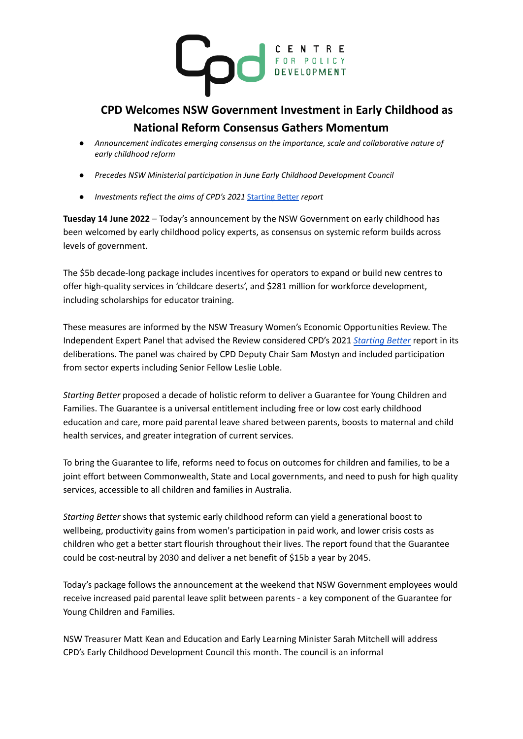

## **CPD Welcomes NSW Government Investment in Early Childhood as National Reform Consensus Gathers Momentum**

- *● Announcement indicates emerging consensus on the importance, scale and collaborative nature of early childhood reform*
- *● Precedes NSW Ministerial participation in June Early Childhood Development Council*
- *● Investments reflect the aims of CPD's 2021* [Starting](https://cpd.org.au/2021/11/starting-better-centre-for-policy-development/) Better *report*

**Tuesday 14 June 2022** – Today's announcement by the NSW Government on early childhood has been welcomed by early childhood policy experts, as consensus on systemic reform builds across levels of government.

The \$5b decade-long package includes incentives for operators to expand or build new centres to offer high-quality services in 'childcare deserts', and \$281 million for workforce development, including scholarships for educator training.

These measures are informed by the NSW Treasury Women's Economic Opportunities Review. The Independent Expert Panel that advised the Review considered CPD's 2021 *[Starting](https://cpd.org.au/2021/11/starting-better-centre-for-policy-development/) Better* report in its deliberations. The panel was chaired by CPD Deputy Chair Sam Mostyn and included participation from sector experts including Senior Fellow Leslie Loble.

*Starting Better* proposed a decade of holistic reform to deliver a Guarantee for Young Children and Families. The Guarantee is a universal entitlement including free or low cost early childhood education and care, more paid parental leave shared between parents, boosts to maternal and child health services, and greater integration of current services.

To bring the Guarantee to life, reforms need to focus on outcomes for children and families, to be a joint effort between Commonwealth, State and Local governments, and need to push for high quality services, accessible to all children and families in Australia.

*Starting Better* shows that systemic early childhood reform can yield a generational boost to wellbeing, productivity gains from women's participation in paid work, and lower crisis costs as children who get a better start flourish throughout their lives. The report found that the Guarantee could be cost-neutral by 2030 and deliver a net benefit of \$15b a year by 2045.

Today's package follows the announcement at the weekend that NSW Government employees would receive increased paid parental leave split between parents - a key component of the Guarantee for Young Children and Families.

NSW Treasurer Matt Kean and Education and Early Learning Minister Sarah Mitchell will address CPD's Early Childhood Development Council this month. The council is an informal